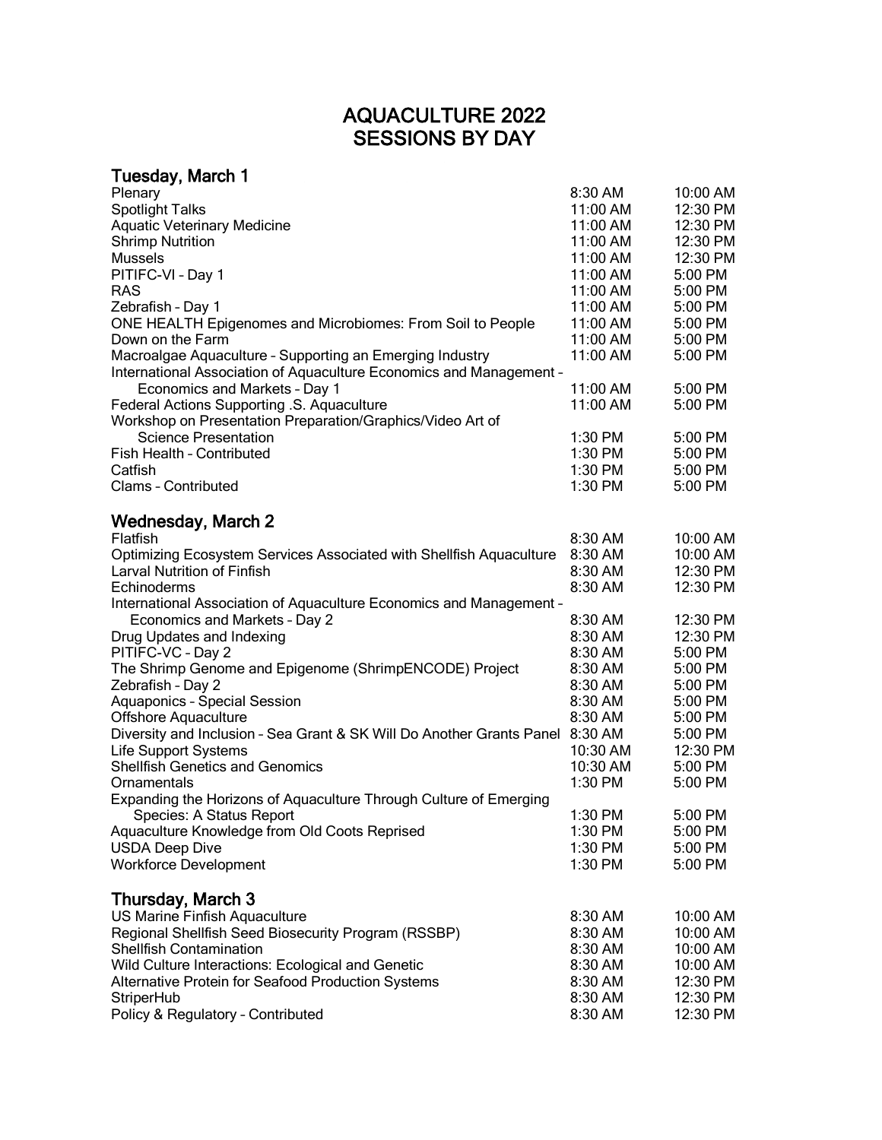## AQUACULTURE 2022 SESSIONS BY DAY

## Tuesday, March 1

| Plenary                                                                       | 8:30 AM            | 10:00 AM            |
|-------------------------------------------------------------------------------|--------------------|---------------------|
| <b>Spotlight Talks</b>                                                        | 11:00 AM           | 12:30 PM            |
| <b>Aquatic Veterinary Medicine</b>                                            | 11:00 AM           | 12:30 PM            |
| <b>Shrimp Nutrition</b>                                                       | 11:00 AM           | 12:30 PM            |
| <b>Mussels</b>                                                                | 11:00 AM           | 12:30 PM            |
| PITIFC-VI - Day 1                                                             | 11:00 AM           | $5:00$ PM           |
| <b>RAS</b>                                                                    | 11:00 AM           | 5:00 PM             |
| Zebrafish - Day 1                                                             | 11:00 AM           | 5:00 PM             |
| ONE HEALTH Epigenomes and Microbiomes: From Soil to People                    | 11:00 AM           | 5:00 PM             |
| Down on the Farm                                                              | 11:00 AM           | 5:00 PM             |
| Macroalgae Aquaculture - Supporting an Emerging Industry                      | 11:00 AM           | $5:00$ PM           |
| International Association of Aquaculture Economics and Management -           |                    |                     |
| <b>Economics and Markets - Day 1</b>                                          | 11:00 AM           | 5:00 PM             |
| Federal Actions Supporting .S. Aquaculture                                    | 11:00 AM           | $5:00$ PM           |
| Workshop on Presentation Preparation/Graphics/Video Art of                    |                    |                     |
| <b>Science Presentation</b>                                                   | $1:30$ PM          | $5:00$ PM           |
| Fish Health - Contributed                                                     | 1:30 PM            | 5:00 PM             |
| Catfish                                                                       | 1:30 PM            | 5:00 PM             |
| <b>Clams - Contributed</b>                                                    | 1:30 PM            | 5:00 PM             |
|                                                                               |                    |                     |
| <b>Wednesday, March 2</b>                                                     |                    |                     |
| Flatfish                                                                      | 8:30 AM            | 10:00 AM            |
| Optimizing Ecosystem Services Associated with Shellfish Aquaculture           | 8:30 AM            | 10:00 AM            |
| Larval Nutrition of Finfish                                                   | 8:30 AM            | 12:30 PM            |
| Echinoderms                                                                   | 8:30 AM            | 12:30 PM            |
| International Association of Aquaculture Economics and Management -           |                    |                     |
| Economics and Markets - Day 2                                                 | 8:30 AM            | 12:30 PM            |
| Drug Updates and Indexing                                                     | 8:30 AM            | 12:30 PM            |
| PITIFC-VC - Day 2                                                             | 8:30 AM<br>8:30 AM | 5:00 PM<br>5:00 PM  |
| The Shrimp Genome and Epigenome (ShrimpENCODE) Project<br>Zebrafish - Day 2   | 8:30 AM            | $5:00$ PM           |
| <b>Aquaponics - Special Session</b>                                           | 8:30 AM            | 5:00 PM             |
| <b>Offshore Aquaculture</b>                                                   | 8:30 AM            | $5:00 \, \text{PM}$ |
| Diversity and Inclusion - Sea Grant & SK Will Do Another Grants Panel 8:30 AM |                    | 5:00 PM             |
| <b>Life Support Systems</b>                                                   | 10:30 AM           | 12:30 PM            |
| <b>Shellfish Genetics and Genomics</b>                                        | 10:30 AM           | 5:00 PM             |
| Ornamentals                                                                   | 1:30 PM            | 5:00 PM             |
| Expanding the Horizons of Aquaculture Through Culture of Emerging             |                    |                     |
| Species: A Status Report                                                      | $1:30$ PM          | 5:00 PM             |
| Aquaculture Knowledge from Old Coots Reprised                                 | 1:30 PM            | 5:00 PM             |
| <b>USDA Deep Dive</b>                                                         | 1:30 PM            | 5:00 PM             |
| <b>Workforce Development</b>                                                  | 1:30 PM            | 5:00 PM             |
|                                                                               |                    |                     |
| Thursday, March 3                                                             |                    |                     |
| US Marine Finfish Aquaculture                                                 | 8:30 AM            | 10:00 AM            |
| Regional Shellfish Seed Biosecurity Program (RSSBP)                           | 8:30 AM            | 10:00 AM            |
| <b>Shellfish Contamination</b>                                                | 8:30 AM            | 10:00 AM            |
| Wild Culture Interactions: Ecological and Genetic                             | 8:30 AM            | 10:00 AM            |
| Alternative Protein for Seafood Production Systems                            | 8:30 AM            | 12:30 PM            |
| <b>StriperHub</b>                                                             | 8:30 AM            | 12:30 PM            |
| Policy & Regulatory - Contributed                                             | 8:30 AM            | 12:30 PM            |
|                                                                               |                    |                     |